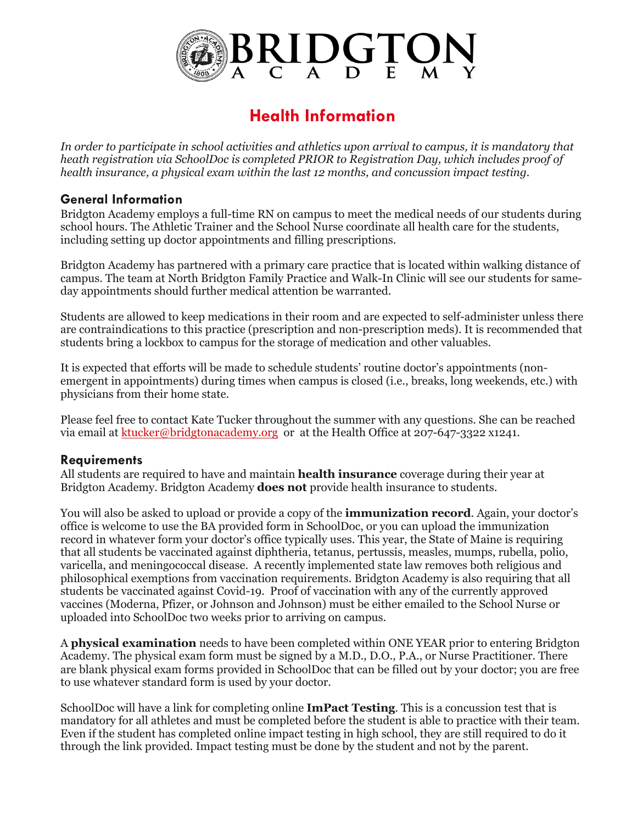

# **Health Information**

*In order to participate in school activities and athletics upon arrival to campus, it is mandatory that heath registration via SchoolDoc is completed PRIOR to Registration Day, which includes proof of health insurance, a physical exam within the last 12 months, and concussion impact testing.*

### **General Information**

Bridgton Academy employs a full-time RN on campus to meet the medical needs of our students during school hours. The Athletic Trainer and the School Nurse coordinate all health care for the students, including setting up doctor appointments and filling prescriptions.

Bridgton Academy has partnered with a primary care practice that is located within walking distance of campus. The team at North Bridgton Family Practice and Walk-In Clinic will see our students for sameday appointments should further medical attention be warranted.

Students are allowed to keep medications in their room and are expected to self-administer unless there are contraindications to this practice (prescription and non-prescription meds). It is recommended that students bring a lockbox to campus for the storage of medication and other valuables.

It is expected that efforts will be made to schedule students' routine doctor's appointments (nonemergent in appointments) during times when campus is closed (i.e., breaks, long weekends, etc.) with physicians from their home state.

Please feel free to contact Kate Tucker throughout the summer with any questions. She can be reached via email at ktucker@bridgtonacademy.org or at the Health Office at 207-647-3322 x1241.

#### **Requirements**

All students are required to have and maintain **health insurance** coverage during their year at Bridgton Academy. Bridgton Academy **does not** provide health insurance to students.

You will also be asked to upload or provide a copy of the **immunization record**. Again, your doctor's office is welcome to use the BA provided form in SchoolDoc, or you can upload the immunization record in whatever form your doctor's office typically uses. This year, the State of Maine is requiring that all students be vaccinated against diphtheria, tetanus, pertussis, measles, mumps, rubella, polio, varicella, and meningococcal disease. A recently implemented state law removes both religious and philosophical exemptions from vaccination requirements. Bridgton Academy is also requiring that all students be vaccinated against Covid-19. Proof of vaccination with any of the currently approved vaccines (Moderna, Pfizer, or Johnson and Johnson) must be either emailed to the School Nurse or uploaded into SchoolDoc two weeks prior to arriving on campus.

A **physical examination** needs to have been completed within ONE YEAR prior to entering Bridgton Academy. The physical exam form must be signed by a M.D., D.O., P.A., or Nurse Practitioner. There are blank physical exam forms provided in SchoolDoc that can be filled out by your doctor; you are free to use whatever standard form is used by your doctor.

SchoolDoc will have a link for completing online **ImPact Testing**. This is a concussion test that is mandatory for all athletes and must be completed before the student is able to practice with their team. Even if the student has completed online impact testing in high school, they are still required to do it through the link provided. Impact testing must be done by the student and not by the parent.